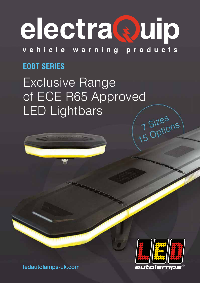# electra@uip

vehicle warning products

## **EQBT SERIES**

Exclusive Range of ECE R65 Approved LED Lightbars 7 Sizes<br>15 Options



ledautolamps-uk.com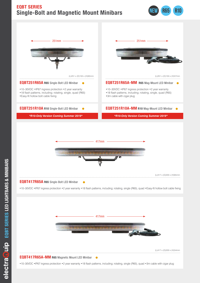## **EQBT SERIES Single-Bolt and Magnetic Mount Minibars Single-Bolt and Magnetic Mount Minibars**





#### **EQBT417R65A R65** Single-Bolt LED Minibar **EQBT417R65A R65** Single-Bolt LED Minibar

•10-30VDC •IP67 ingress protection •2 year warranty •18 flash patterns, including; rotating, single (R65), quad •Easy-fit hollow bolt cable fixing



•10-30VDC •IP67 ingress protection •2 year warranty •18 flash patterns, including; rotating, single (R65), quad •3m cable with cigar plug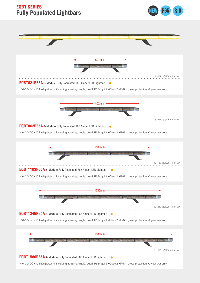## **Fully Populated Lightbars Fully Populated Lightbars EQBT SERIES**



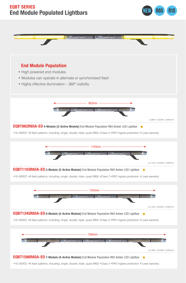### **EQBT SERIES End Module Populated Lightbars**



**NEW R65 R10**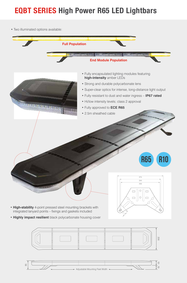# **EQBT SERIES High Power R65 LED Lightbars EQBT SERIES High Power R65 LED Lightbars**

• Two illuminated options available: • Two illuminated options available:





- Strong and durable polycarbonate lens Strong and durable polycarbonate lens
- Super-clear optics for intense, long-distance light output Super-clear optics for intense, long-distance light output

**high-intensity** amber LEDs

**•** 2.5m sheathed cable

- Fully resistant to dust and water ingress – **IP67 rated** Fully resistant to dust and water ingress – **IP67 rated**
- Hi/low intensity levels; class 2 approval Hi/low intensity levels; class 2 approval
- Fully approved to **ECE R65** • Fully approved to **ECE R65**
- 2.5m sheathed cable







- **High-stability** 4-point pressed steel mounting brackets with **High-stability** 4-point pressed steel mounting brackets with integrated lanyard points – fixings and gaskets included  $\ll \gg$
- **Highly impact resilient** black polycarbonate housing cover **Highly impact resilient** black polycarbonate housing cover